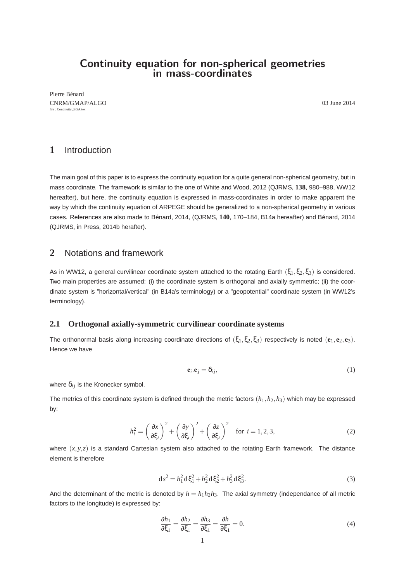# **Continuity equation for non-spherical geometries in mass-coordinates**

Pierre Bénard CNRM/GMAP/ALGO 03 June 2014 file : Continuity\_EGA.tex

## **1** Introduction

The main goal of this paper is to express the continuity equation for a quite general non-spherical geometry, but in mass coordinate. The framework is similar to the one of White and Wood, 2012 (QJRMS, **138**, 980–988, WW12 hereafter), but here, the continuity equation is expressed in mass-coordinates in order to make apparent the way by which the continuity equation of ARPEGE should be generalized to a non-spherical geometry in various cases. References are also made to Bénard, 2014, (QJRMS, **140**, 170–184, B14a hereafter) and Bénard, 2014 (QJRMS, in Press, 2014b herafter).

## **2** Notations and framework

As in WW12, a general curvilinear coordinate system attached to the rotating Earth ( $\xi_1, \xi_2, \xi_3$ ) is considered. Two main properties are assumed: (i) the coordinate system is orthogonal and axially symmetric; (ii) the coordinate system is "horizontal/vertical" (in B14a's terminology) or a "geopotential" coordinate system (in WW12's terminology).

### **2.1 Orthogonal axially-symmetric curvilinear coordinate systems**

The orthonormal basis along increasing coordinate directions of  $(\xi_1, \xi_2, \xi_3)$  respectively is noted  $(e_1, e_2, e_3)$ . Hence we have

$$
\mathbf{e}_i \cdot \mathbf{e}_j = \delta_{ij},\tag{1}
$$

where  $\delta_{ij}$  is the Kronecker symbol.

The metrics of this coordinate system is defined through the metric factors  $(h_1, h_2, h_3)$  which may be expressed by:

$$
h_i^2 = \left(\frac{\partial x}{\partial \xi_i}\right)^2 + \left(\frac{\partial y}{\partial \xi_i}\right)^2 + \left(\frac{\partial z}{\partial \xi_i}\right)^2 \quad \text{for } i = 1, 2, 3,
$$
 (2)

where  $(x, y, z)$  is a standard Cartesian system also attached to the rotating Earth framework. The distance element is therefore

$$
ds^2 = h_1^2 d\xi_1^2 + h_2^2 d\xi_2^2 + h_3^2 d\xi_3^2.
$$
 (3)

And the determinant of the metric is denoted by  $h = h_1 h_2 h_3$ . The axial symmetry (independance of all metric factors to the longitude) is expressed by:

$$
\frac{\partial h_1}{\partial \xi_1} = \frac{\partial h_2}{\partial \xi_1} = \frac{\partial h_3}{\partial \xi_1} = \frac{\partial h}{\partial \xi_1} = 0.
$$
\n(4)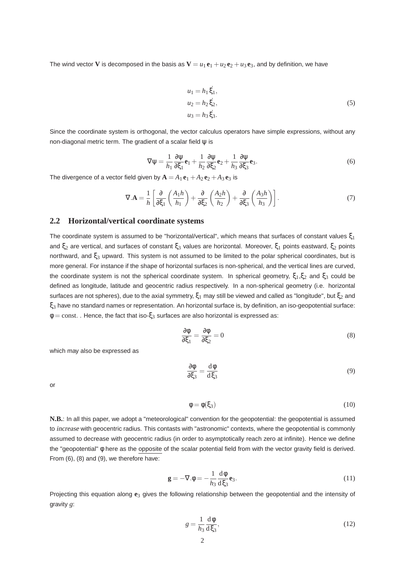The wind vector **V** is decomposed in the basis as  $V = u_1 e_1 + u_2 e_2 + u_3 e_3$ , and by definition, we have

$$
u_1 = h_1 \xi_1,
$$
  
\n
$$
u_2 = h_2 \xi_2,
$$
  
\n
$$
u_3 = h_3 \xi_3.
$$
  
\n(5)

Since the coordinate system is orthogonal, the vector calculus operators have simple expressions, without any non-diagonal metric term. The gradient of a scalar field ψ is

$$
\nabla \psi = \frac{1}{h_1} \frac{\partial \psi}{\partial \xi_1} \mathbf{e}_1 + \frac{1}{h_2} \frac{\partial \psi}{\partial \xi_2} \mathbf{e}_2 + \frac{1}{h_3} \frac{\partial \psi}{\partial \xi_3} \mathbf{e}_3.
$$
 (6)

The divergence of a vector field given by  $A = A_1 e_1 + A_2 e_2 + A_3 e_3$  is

$$
\nabla \mathbf{A} = \frac{1}{h} \left[ \frac{\partial}{\partial \xi_1} \left( \frac{A_1 h}{h_1} \right) + \frac{\partial}{\partial \xi_2} \left( \frac{A_2 h}{h_2} \right) + \frac{\partial}{\partial \xi_3} \left( \frac{A_3 h}{h_3} \right) \right].
$$
 (7)

### **2.2 Horizontal/vertical coordinate systems**

The coordinate system is assumed to be "horizontal/vertical", which means that surfaces of constant values  $\xi_1$ and  $ξ<sub>2</sub>$  are vertical, and surfaces of constant  $ξ<sub>3</sub>$  values are horizontal. Moreover,  $ξ<sub>1</sub>$  points eastward,  $ξ<sub>2</sub>$  points northward, and ξ<sub>3</sub> upward. This system is not assumed to be limited to the polar spherical coordinates, but is more general. For instance if the shape of horizontal surfaces is non-spherical, and the vertical lines are curved, the coordinate system is not the spherical coordinate system. In spherical geometry,  $\xi_1, \xi_2$  and  $\xi_3$  could be defined as longitude, latitude and geocentric radius respectively. In a non-spherical geometry (i.e. horizontal surfaces are not spheres), due to the axial symmetry,  $\xi_1$  may still be viewed and called as "longitude", but  $\xi_2$  and ξ<sup>3</sup> have no standard names or representation. An horizontal surface is, by definition, an iso-geopotential surface:  $\phi$  = const. . Hence, the fact that iso- $\xi_3$  surfaces are also horizontal is expressed as:

$$
\frac{\partial \phi}{\partial \xi_1} = \frac{\partial \phi}{\partial \xi_2} = 0 \tag{8}
$$

which may also be expressed as

$$
\frac{\partial \phi}{\partial \xi_3} = \frac{d\phi}{d\xi_3} \tag{9}
$$

or

$$
\phi = \phi(\xi_3) \tag{10}
$$

**N.B.**: In all this paper, we adopt a "meteorological" convention for the geopotential: the geopotential is assumed to increase with geocentric radius. This contasts with "astronomic" contexts, where the geopotential is commonly assumed to decrease with geocentric radius (in order to asymptotically reach zero at infinite). Hence we define the "geopotential" φ here as the opposite of the scalar potential field from with the vector gravity field is derived. From (6), (8) and (9), we therefore have:

$$
\mathbf{g} = -\nabla \cdot \phi = -\frac{1}{h_3} \frac{d\phi}{d\xi_3} \mathbf{e}_3. \tag{11}
$$

Projecting this equation along **e**<sup>3</sup> gives the following relationship between the geopotential and the intensity of gravity *g*:

$$
g = \frac{1}{h_3} \frac{\mathrm{d}\phi}{\mathrm{d}\xi_3},\tag{12}
$$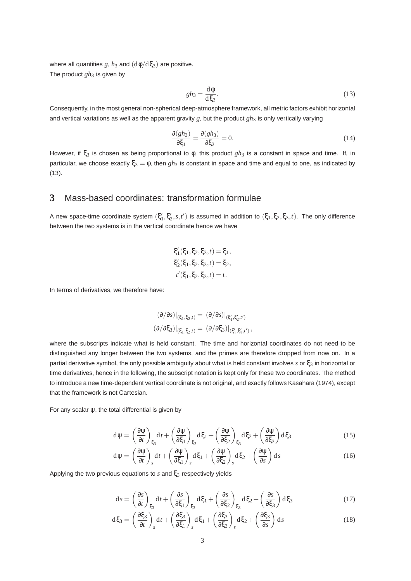where all quantities  $g$ ,  $h_3$  and  $(d\phi/d\xi_3)$  are positive. The product  $gh_3$  is given by

$$
gh_3 = \frac{\mathrm{d}\phi}{\mathrm{d}\xi_3}.\tag{13}
$$

Consequently, in the most general non-spherical deep-atmosphere framework, all metric factors exhibit horizontal and vertical variations as well as the apparent gravity  $g$ , but the product  $gh_3$  is only vertically varying

$$
\frac{\partial (gh_3)}{\partial \xi_1} = \frac{\partial (gh_3)}{\partial \xi_2} = 0.
$$
 (14)

However, if  $\xi_3$  is chosen as being proportional to φ, this product *gh*<sub>3</sub> is a constant in space and time. If, in particular, we choose exactly  $\xi_3 = \phi$ , then  $gh_3$  is constant in space and time and equal to one, as indicated by (13).

### **3** Mass-based coordinates: transformation formulae

A new space-time coordinate system  $(\xi'_1,\xi'_2,s,t')$  is assumed in addition to  $(\xi_1,\xi_2,\xi_3,t)$ . The only difference between the two systems is in the vertical coordinate hence we have

$$
\xi'_1(\xi_1, \xi_2, \xi_3, t) = \xi_1,
$$
  
\n
$$
\xi'_2(\xi_1, \xi_2, \xi_3, t) = \xi_2,
$$
  
\n
$$
t'(\xi_1, \xi_2, \xi_3, t) = t.
$$

In terms of derivatives, we therefore have:

$$
(\partial/\partial s)|_{(\xi_1,\xi_2,t)} = (\partial/\partial s)|_{(\xi_1',\xi_2',t')}
$$
  

$$
(\partial/\partial \xi_3)|_{(\xi_1,\xi_2,t)} = (\partial/\partial \xi_3)|_{(\xi_1',\xi_2',t')},
$$

where the subscripts indicate what is held constant. The time and horizontal coordinates do not need to be distinguished any longer between the two systems, and the primes are therefore dropped from now on. In a partial derivative symbol, the only possible ambiguity about what is held constant involves *s* or ξ<sup>3</sup> in horizontal or time derivatives, hence in the following, the subscript notation is kept only for these two coordinates. The method to introduce a new time-dependent vertical coordinate is not original, and exactly follows Kasahara (1974), except that the framework is not Cartesian.

For any scalar  $\psi$ , the total differential is given by

$$
d\psi = \left(\frac{\partial \psi}{\partial t}\right)_{\xi_3} dt + \left(\frac{\partial \psi}{\partial \xi_1}\right)_{\xi_3} d\xi_1 + \left(\frac{\partial \psi}{\partial \xi_2}\right)_{\xi_3} d\xi_2 + \left(\frac{\partial \psi}{\partial \xi_3}\right) d\xi_3
$$
(15)

$$
d\psi = \left(\frac{\partial \psi}{\partial t}\right)_s dt + \left(\frac{\partial \psi}{\partial \xi_1}\right)_s d\xi_1 + \left(\frac{\partial \psi}{\partial \xi_2}\right)_s d\xi_2 + \left(\frac{\partial \psi}{\partial s}\right) ds
$$
 (16)

Applying the two previous equations to *s* and ξ<sup>3</sup> respectively yields

$$
ds = \left(\frac{\partial s}{\partial t}\right)_{\xi_3} dt + \left(\frac{\partial s}{\partial \xi_1}\right)_{\xi_3} d\xi_1 + \left(\frac{\partial s}{\partial \xi_2}\right)_{\xi_3} d\xi_2 + \left(\frac{\partial s}{\partial \xi_3}\right) d\xi_3 \tag{17}
$$

$$
d\xi_3 = \left(\frac{\partial \xi_3}{\partial t}\right)_s dt + \left(\frac{\partial \xi_3}{\partial \xi_1}\right)_s d\xi_1 + \left(\frac{\partial \xi_3}{\partial \xi_2}\right)_s d\xi_2 + \left(\frac{\partial \xi_3}{\partial s}\right) ds
$$
(18)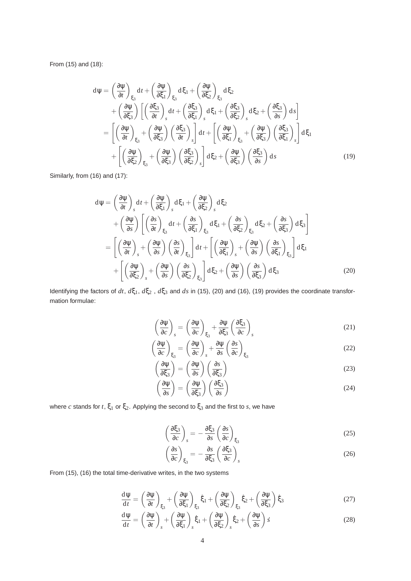From (15) and (18):

$$
d\psi = \left(\frac{\partial \psi}{\partial t}\right)_{\xi_3} dt + \left(\frac{\partial \psi}{\partial \xi_1}\right)_{\xi_3} d\xi_1 + \left(\frac{\partial \psi}{\partial \xi_2}\right)_{\xi_3} d\xi_2 + \left(\frac{\partial \psi}{\partial \xi_3}\right) \left[\left(\frac{\partial \xi_3}{\partial t}\right)_s dt + \left(\frac{\partial \xi_3}{\partial \xi_1}\right)_s d\xi_1 + \left(\frac{\partial \xi_3}{\partial \xi_2}\right)_s d\xi_2 + \left(\frac{\partial \xi_3}{\partial s}\right) ds\right] = \left[\left(\frac{\partial \psi}{\partial t}\right)_{\xi_3} + \left(\frac{\partial \psi}{\partial \xi_3}\right) \left(\frac{\partial \xi_3}{\partial t}\right)_s\right] dt + \left[\left(\frac{\partial \psi}{\partial \xi_1}\right)_{\xi_3} + \left(\frac{\partial \psi}{\partial \xi_3}\right) \left(\frac{\partial \xi_3}{\partial \xi_1}\right)_s\right] d\xi_1 + \left[\left(\frac{\partial \psi}{\partial \xi_2}\right)_{\xi_3} + \left(\frac{\partial \psi}{\partial \xi_3}\right) \left(\frac{\partial \xi_3}{\partial \xi_2}\right)_s\right] d\xi_2 + \left(\frac{\partial \psi}{\partial \xi_3}\right) \left(\frac{\partial \xi_3}{\partial s}\right) ds
$$
(19)

Similarly, from (16) and (17):

$$
d\psi = \left(\frac{\partial \psi}{\partial t}\right)_s dt + \left(\frac{\partial \psi}{\partial \xi_1}\right)_s d\xi_1 + \left(\frac{\partial \psi}{\partial \xi_2}\right)_s d\xi_2 + \left(\frac{\partial \psi}{\partial s}\right) \left[ \left(\frac{\partial s}{\partial t}\right)_{\xi_3} dt + \left(\frac{\partial s}{\partial \xi_1}\right)_{\xi_3} d\xi_1 + \left(\frac{\partial s}{\partial \xi_2}\right)_{\xi_3} d\xi_2 + \left(\frac{\partial s}{\partial \xi_3}\right) d\xi_3 \right] = \left[ \left(\frac{\partial \psi}{\partial t}\right)_s + \left(\frac{\partial \psi}{\partial s}\right) \left(\frac{\partial s}{\partial t}\right)_{\xi_3} \right] dt + \left[ \left(\frac{\partial \psi}{\partial \xi_1}\right)_s + \left(\frac{\partial \psi}{\partial s}\right) \left(\frac{\partial s}{\partial \xi_1}\right)_{\xi_3} \right] d\xi_1 + \left[ \left(\frac{\partial \psi}{\partial \xi_2}\right)_s + \left(\frac{\partial \psi}{\partial s}\right) \left(\frac{\partial s}{\partial \xi_2}\right)_{\xi_3} \right] d\xi_2 + \left(\frac{\partial \psi}{\partial s}\right) \left(\frac{\partial s}{\partial \xi_3}\right) d\xi_3
$$
(20)

Identifying the factors of *dt*,  $dξ_1$ ,  $dξ_2$ ,  $dξ_3$  and *ds* in (15), (20) and (16), (19) provides the coordinate transformation formulae:

$$
\left(\frac{\partial \Psi}{\partial c}\right)_s = \left(\frac{\partial \Psi}{\partial c}\right)_{\xi_3} + \frac{\partial \Psi}{\partial \xi_3} \left(\frac{\partial \xi_3}{\partial c}\right)_s
$$
\n(21)

$$
\left(\frac{\partial \Psi}{\partial c}\right)_{\xi_3} = \left(\frac{\partial \Psi}{\partial c}\right)_s + \frac{\partial \Psi}{\partial s} \left(\frac{\partial s}{\partial c}\right)_{\xi_3}
$$
\n(22)

$$
\left(\frac{\partial \Psi}{\partial \xi_3}\right) = \left(\frac{\partial \Psi}{\partial s}\right) \left(\frac{\partial s}{\partial \xi_3}\right) \tag{23}
$$

$$
\left(\frac{\partial \Psi}{\partial s}\right) = \left(\frac{\partial \Psi}{\partial \xi_3}\right) \left(\frac{\partial \xi_3}{\partial s}\right) \tag{24}
$$

where  $c$  stands for  $t$ ,  $\xi_1$  or  $\xi_2$ . Applying the second to  $\xi_3$  and the first to  $s$ , we have

$$
\left(\frac{\partial \xi_3}{\partial c}\right)_s = -\frac{\partial \xi_3}{\partial s} \left(\frac{\partial s}{\partial c}\right)_{\xi_3} \tag{25}
$$

$$
\left(\frac{\partial s}{\partial c}\right)_{\xi_3} = -\frac{\partial s}{\partial \xi_3} \left(\frac{\partial \xi_3}{\partial c}\right)_s
$$
\n(26)

From (15), (16) the total time-derivative writes, in the two systems

$$
\frac{d\psi}{dt} = \left(\frac{\partial\psi}{\partial t}\right)_{\xi_3} + \left(\frac{\partial\psi}{\partial\xi_1}\right)_{\xi_3}\dot{\xi}_1 + \left(\frac{\partial\psi}{\partial\xi_2}\right)_{\xi_3}\dot{\xi}_2 + \left(\frac{\partial\psi}{\partial\xi_3}\right)\dot{\xi}_3\tag{27}
$$

$$
\frac{d\psi}{dt} = \left(\frac{\partial\psi}{\partial t}\right)_s + \left(\frac{\partial\psi}{\partial \xi_1}\right)_s \dot{\xi}_1 + \left(\frac{\partial\psi}{\partial \xi_2}\right)_s \dot{\xi}_2 + \left(\frac{\partial\psi}{\partial s}\right)\dot{s}
$$
(28)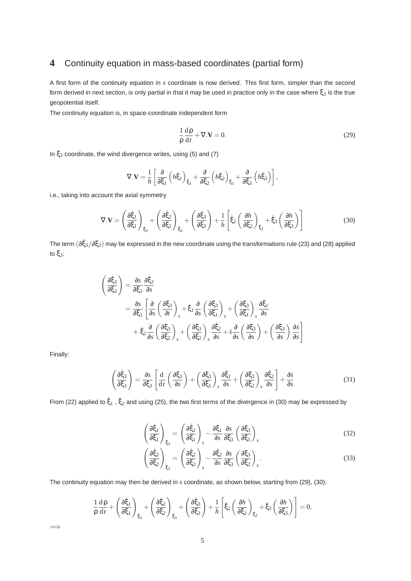# **4** Continuity equation in mass-based coordinates (partial form)

A first form of the continuity equation in *s* coordinate is now derived. This first form, simpler than the second form derived in next section, is only partial in that it may be used in practice only in the case where  $\xi_3$  is the true geopotential itself.

The continuity equation is, in space-coordinate independent form

$$
\frac{1}{\rho} \frac{d\rho}{dt} + \nabla \cdot \mathbf{V} = 0.
$$
 (29)

In  $\xi_3$  coordinate, the wind divergence writes, using (5) and (7)

$$
\nabla.\mathbf{V} = \frac{1}{h} \left[ \frac{\partial}{\partial \xi_1} \left( h \dot{\xi}_1 \right)_{\xi_3} + \frac{\partial}{\partial \xi_2} \left( h \dot{\xi}_2 \right)_{\xi_3} + \frac{\partial}{\partial \xi_3} \left( h \dot{\xi}_3 \right) \right],
$$

i.e., taking into account the axial symmetry

$$
\nabla.\mathbf{V} = \left(\frac{\partial \dot{\xi}_1}{\partial \xi_1}\right)_{\xi_3} + \left(\frac{\partial \dot{\xi}_2}{\partial \xi_2}\right)_{\xi_3} + \left(\frac{\partial \dot{\xi}_3}{\partial \xi_3}\right) + \frac{1}{h} \left[\dot{\xi}_2 \left(\frac{\partial h}{\partial \xi_2}\right)_{\xi_3} + \dot{\xi}_3 \left(\frac{\partial h}{\partial \xi_3}\right)\right]
$$
(30)

The term  $(\partial \dot{\xi}_3/\partial \xi_3)$  may be expressed in the new coordinate using the transformations rule (23) and (28) applied to ξ3:

$$
\begin{aligned}\n\left(\frac{\partial \dot{\xi}_3}{\partial \xi_3}\right) &= \frac{\partial s}{\partial \xi_3} \frac{\partial \dot{\xi}_3}{\partial s} \\
&= \frac{\partial s}{\partial \xi_3} \left[ \frac{\partial}{\partial s} \left(\frac{\partial \xi_3}{\partial t}\right)_s + \dot{\xi}_1 \frac{\partial}{\partial s} \left(\frac{\partial \xi_3}{\partial \xi_1}\right)_s + \left(\frac{\partial \xi_3}{\partial \xi_1}\right)_s \frac{\partial \dot{\xi}_1}{\partial s} \\
&+ \dot{\xi}_2 \frac{\partial}{\partial s} \left(\frac{\partial \xi_3}{\partial \xi_2}\right)_s + \left(\frac{\partial \xi_3}{\partial \xi_2}\right)_s \frac{\partial \dot{\xi}_2}{\partial s} + s \frac{\partial}{\partial s} \left(\frac{\partial \xi_3}{\partial s}\right) + \left(\frac{\partial \xi_3}{\partial s}\right) \frac{\partial s}{\partial s}\n\end{aligned}
$$

Finally:

 $\implies$ 

$$
\left(\frac{\partial \dot{\xi}_3}{\partial \xi_3}\right) = \frac{\partial s}{\partial \xi_3} \left[ \frac{\mathrm{d}}{\mathrm{d}t} \left( \frac{\partial \xi_3}{\partial s} \right) + \left( \frac{\partial \xi_3}{\partial \xi_1} \right)_s \frac{\partial \dot{\xi}_1}{\partial s} + \left( \frac{\partial \xi_3}{\partial \xi_2} \right)_s \frac{\partial \dot{\xi}_2}{\partial s} \right] + \frac{\partial \dot{s}}{\partial s} \tag{31}
$$

From (22) applied to  $\dot{\xi}_1$  ,  $\dot{\xi}_2$  and using (25), the two first terms of the divergence in (30) may be expressed by

$$
\left(\frac{\partial \dot{\xi}_1}{\partial \xi_1}\right)_{\xi_3} = \left(\frac{\partial \dot{\xi}_1}{\partial \xi_1}\right)_s - \frac{\partial \dot{\xi}_1}{\partial s} \frac{\partial s}{\partial \xi_3} \left(\frac{\partial \xi_3}{\partial \xi_1}\right)_s \tag{32}
$$

$$
\left(\frac{\partial \dot{\xi}_2}{\partial \xi_2}\right)_{\xi_3} = \left(\frac{\partial \dot{\xi}_2}{\partial \xi_2}\right)_s - \frac{\partial \dot{\xi}_2}{\partial s} \frac{\partial s}{\partial \xi_3} \left(\frac{\partial \xi_3}{\partial \xi_2}\right)_s.
$$
\n(33)

The continuity equation may then be derived in *s* coordinate, as shown below, starting from (29), (30):

$$
\frac{1}{\rho}\frac{d\rho}{dt} + \left(\frac{\partial \dot{\xi}_1}{\partial \xi_1}\right)_{\xi_3} + \left(\frac{\partial \dot{\xi}_2}{\partial \xi_2}\right)_{\xi_3} + \left(\frac{\partial \dot{\xi}_3}{\partial \xi_3}\right) + \frac{1}{h} \left[\dot{\xi}_2 \left(\frac{\partial h}{\partial \xi_2}\right)_{\xi_3} + \dot{\xi}_3 \left(\frac{\partial h}{\partial \xi_3}\right)\right] = 0.
$$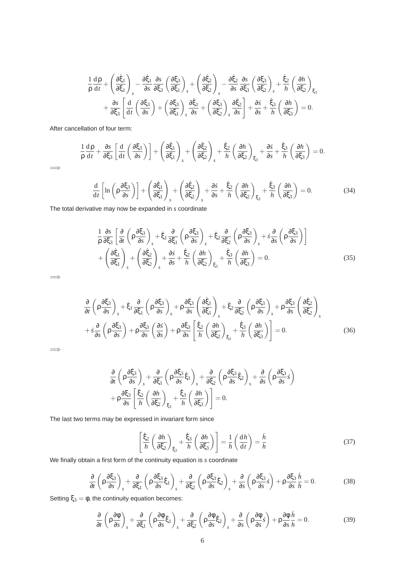$$
\frac{1}{\rho}\frac{d\rho}{dt} + \left(\frac{\partial \dot{\xi}_1}{\partial \xi_1}\right)_s - \frac{\partial \dot{\xi}_1}{\partial s} \frac{\partial s}{\partial \xi_3} \left(\frac{\partial \xi_3}{\partial \xi_1}\right)_s + \left(\frac{\partial \dot{\xi}_2}{\partial \xi_2}\right)_s - \frac{\partial \dot{\xi}_2}{\partial s} \frac{\partial s}{\partial \xi_3} \left(\frac{\partial \xi_3}{\partial \xi_2}\right)_s + \frac{\dot{\xi}_2}{h} \left(\frac{\partial h}{\partial \xi_2}\right)_{\xi_3} \n+ \frac{\partial s}{\partial \xi_3} \left[\frac{d}{dt} \left(\frac{\partial \xi_3}{\partial s}\right) + \left(\frac{\partial \xi_3}{\partial \xi_1}\right)_s \frac{\partial \dot{\xi}_1}{\partial s} + \left(\frac{\partial \xi_3}{\partial \xi_2}\right)_s \frac{\partial \dot{\xi}_2}{\partial s} \right] + \frac{\partial s}{\partial s} + \frac{\dot{\xi}_3}{h} \left(\frac{\partial h}{\partial \xi_3}\right) = 0.
$$

After cancellation of four term:

$$
\frac{1}{\rho} \frac{d\rho}{dt} + \frac{\partial s}{\partial \xi_3} \left[ \frac{d}{dt} \left( \frac{\partial \xi_3}{\partial s} \right) \right] + \left( \frac{\partial \xi_1}{\partial \xi_1} \right)_s + \left( \frac{\partial \xi_2}{\partial \xi_2} \right)_s + \frac{\xi_2}{h} \left( \frac{\partial h}{\partial \xi_2} \right)_{\xi_3} + \frac{\partial s}{\partial s} + \frac{\xi_3}{h} \left( \frac{\partial h}{\partial \xi_3} \right) = 0.
$$
\n
$$
\frac{d}{dt} \left[ \ln \left( \rho \frac{\partial \xi_3}{\partial s} \right) \right] + \left( \frac{\partial \xi_1}{\partial \xi_1} \right)_s + \left( \frac{\partial \xi_2}{\partial \xi_2} \right)_s + \frac{\partial s}{\partial s} + \frac{\xi_2}{h} \left( \frac{\partial h}{\partial \xi_2} \right)_{\xi_3} + \frac{\xi_3}{h} \left( \frac{\partial h}{\partial \xi_3} \right) = 0.
$$
\n(34)

The total derivative may now be expanded in *s* coordinate

$$
\frac{1}{\rho} \frac{\partial s}{\partial \xi_3} \left[ \frac{\partial}{\partial t} \left( \rho \frac{\partial \xi_3}{\partial s} \right)_s + \dot{\xi}_1 \frac{\partial}{\partial \xi_1} \left( \rho \frac{\partial \xi_3}{\partial s} \right)_s + \dot{\xi}_2 \frac{\partial}{\partial \xi_2} \left( \rho \frac{\partial \xi_3}{\partial s} \right)_s + s \frac{\partial}{\partial s} \left( \rho \frac{\partial \xi_3}{\partial s} \right) \right] + \left( \frac{\partial \xi_1}{\partial \xi_1} \right)_s + \left( \frac{\partial \xi_2}{\partial \xi_2} \right)_s + \frac{\partial s}{\partial s} + \frac{\dot{\xi}_2}{h} \left( \frac{\partial h}{\partial \xi_2} \right)_{\xi_3} + \frac{\dot{\xi}_3}{h} \left( \frac{\partial h}{\partial \xi_3} \right) = 0.
$$
\n(35)

=⇒

=⇒

=⇒

$$
\frac{\partial}{\partial t} \left( \rho \frac{\partial \xi_3}{\partial s} \right)_s + \dot{\xi}_1 \frac{\partial}{\partial \xi_1} \left( \rho \frac{\partial \xi_3}{\partial s} \right)_s + \rho \frac{\partial \xi_3}{\partial s} \left( \frac{\partial \xi_1}{\partial \xi_1} \right)_s + \dot{\xi}_2 \frac{\partial}{\partial \xi_2} \left( \rho \frac{\partial \xi_3}{\partial s} \right)_s + \rho \frac{\partial \xi_3}{\partial s} \left( \frac{\partial \xi_2}{\partial \xi_2} \right)_s
$$
\n
$$
+ \dot{s} \frac{\partial}{\partial s} \left( \rho \frac{\partial \xi_3}{\partial s} \right) + \rho \frac{\partial \xi_3}{\partial s} \left( \frac{\partial \dot{s}}{\partial s} \right) + \rho \frac{\partial \xi_3}{\partial s} \left[ \frac{\dot{\xi}_2}{h} \left( \frac{\partial h}{\partial \xi_2} \right)_{\xi_3} + \frac{\dot{\xi}_3}{h} \left( \frac{\partial h}{\partial \xi_3} \right) \right] = 0. \tag{36}
$$

$$
\frac{\partial}{\partial t} \left( \rho \frac{\partial \xi_3}{\partial s} \right)_s + \frac{\partial}{\partial \xi_1} \left( \rho \frac{\partial \xi_3}{\partial s} \dot{\xi}_1 \right)_s + \frac{\partial}{\partial \xi_2} \left( \rho \frac{\partial \xi_3}{\partial s} \dot{\xi}_2 \right)_s + \frac{\partial}{\partial s} \left( \rho \frac{\partial \xi_3}{\partial s} \dot{s} \right) \n+ \rho \frac{\partial \xi_3}{\partial s} \left[ \frac{\dot{\xi}_2}{h} \left( \frac{\partial h}{\partial \xi_2} \right)_{\xi_3} + \frac{\dot{\xi}_3}{h} \left( \frac{\partial h}{\partial \xi_3} \right) \right] = 0.
$$

The last two terms may be expressed in invariant form since

$$
\left[\frac{\dot{\xi}_2}{h}\left(\frac{\partial h}{\partial \xi_2}\right)_{\xi_3} + \frac{\dot{\xi}_3}{h}\left(\frac{\partial h}{\partial \xi_3}\right)\right] = \frac{1}{h}\left(\frac{dh}{dt}\right) = \frac{h}{h}
$$
\n(37)

We finally obtain a first form of the continuity equation is *s* coordinate

$$
\frac{\partial}{\partial t} \left( \rho \frac{\partial \xi_3}{\partial s} \right)_s + \frac{\partial}{\partial \xi_1} \left( \rho \frac{\partial \xi_3}{\partial s} \dot{\xi}_1 \right)_s + \frac{\partial}{\partial \xi_2} \left( \rho \frac{\partial \xi_3}{\partial s} \dot{\xi}_2 \right)_s + \frac{\partial}{\partial s} \left( \rho \frac{\partial \xi_3}{\partial s} \dot{s} \right) + \rho \frac{\partial \xi_3}{\partial s} \frac{\dot{h}}{h} = 0. \tag{38}
$$

Setting  $\xi_3 = \phi$ , the continuity equation becomes:

$$
\frac{\partial}{\partial t} \left( \rho \frac{\partial \phi}{\partial s} \right)_s + \frac{\partial}{\partial \xi_1} \left( \rho \frac{\partial \phi}{\partial s} \dot{\xi}_1 \right)_s + \frac{\partial}{\partial \xi_2} \left( \rho \frac{\partial \phi}{\partial s} \dot{\xi}_2 \right)_s + \frac{\partial}{\partial s} \left( \rho \frac{\partial \phi}{\partial s} \dot{s} \right) + \rho \frac{\partial \phi}{\partial s} \frac{\dot{h}}{h} = 0. \tag{39}
$$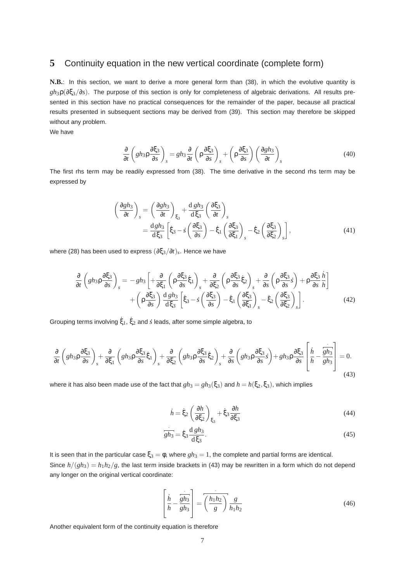## **5** Continuity equation in the new vertical coordinate (complete form)

**N.B.**: In this section, we want to derive a more general form than (38), in which the evolutive quantity is *gh*3ρ(∂ξ3/∂*s*). The purpose of this section is only for completeness of algebraic derivations. All results presented in this section have no practical consequences for the remainder of the paper, because all practical results presented in subsequent sections may be derived from (39). This section may therefore be skipped without any problem.

We have

$$
\frac{\partial}{\partial t}\left(gh_3\rho\frac{\partial\xi_3}{\partial s}\right)_s = gh_3\frac{\partial}{\partial t}\left(\rho\frac{\partial\xi_3}{\partial s}\right)_s + \left(\rho\frac{\partial\xi_3}{\partial s}\right)\left(\frac{\partial gh_3}{\partial t}\right)_s\tag{40}
$$

The first rhs term may be readily expressed from (38). The time derivative in the second rhs term may be expressed by

$$
\begin{aligned}\n\left(\frac{\partial gh_3}{\partial t}\right)_s &= \left(\frac{\partial gh_3}{\partial t}\right)_{\xi_3} + \frac{\mathrm{d} gh_3}{\mathrm{d}\xi_3} \left(\frac{\partial \xi_3}{\partial t}\right)_s \\
&= \frac{\mathrm{d} gh_3}{\mathrm{d}\xi_3} \left[\dot{\xi}_3 - \dot{s} \left(\frac{\partial \xi_3}{\partial s}\right) - \dot{\xi}_1 \left(\frac{\partial \xi_3}{\partial \xi_1}\right)_s - \dot{\xi}_2 \left(\frac{\partial \xi_3}{\partial \xi_2}\right)_s\right],\n\end{aligned} \tag{41}
$$

where (28) has been used to express (∂ξ3/∂*t*)*<sup>s</sup>* . Hence we have

$$
\frac{\partial}{\partial t} \left( gh_3 \rho \frac{\partial \xi_3}{\partial s} \right)_s = -gh_3 \left[ + \frac{\partial}{\partial \xi_1} \left( \rho \frac{\partial \xi_3}{\partial s} \xi_1 \right)_s + \frac{\partial}{\partial \xi_2} \left( \rho \frac{\partial \xi_3}{\partial s} \xi_2 \right)_s + \frac{\partial}{\partial s} \left( \rho \frac{\partial \xi_3}{\partial s} \xi \right) + \rho \frac{\partial \xi_3}{\partial s} \frac{h}{h} \right] \n+ \left( \rho \frac{\partial \xi_3}{\partial s} \right) \frac{d g h_3}{d \xi_3} \left[ \xi_3 - s \left( \frac{\partial \xi_3}{\partial s} \right) - \xi_1 \left( \frac{\partial \xi_3}{\partial \xi_1} \right)_s - \xi_2 \left( \frac{\partial \xi_3}{\partial \xi_2} \right)_s \right].
$$
\n(42)

Grouping terms involving  $\dot{\xi}_1$ ,  $\dot{\xi}_2$  and  $\dot{s}$  leads, after some simple algebra, to

$$
\frac{\partial}{\partial t}\left(gh_{3}\rho\frac{\partial\xi_{3}}{\partial s}\right)_{s} + \frac{\partial}{\partial\xi_{1}}\left(gh_{3}\rho\frac{\partial\xi_{3}}{\partial s}\dot{\xi}_{1}\right)_{s} + \frac{\partial}{\partial\xi_{2}}\left(gh_{3}\rho\frac{\partial\xi_{3}}{\partial s}\dot{\xi}_{2}\right)_{s} + \frac{\partial}{\partial s}\left(gh_{3}\rho\frac{\partial\xi_{3}}{\partial s}\dot{s}\right) + gh_{3}\rho\frac{\partial\xi_{3}}{\partial s}\left[\frac{\dot{h}}{h} - \frac{\dot{g}}{gh_{3}}\right] = 0. \tag{43}
$$

where it has also been made use of the fact that  $gh_3 = gh_3(\xi_3)$  and  $h = h(\xi_2, \xi_3)$ , which implies

$$
\dot{h} = \dot{\xi}_2 \left( \frac{\partial h}{\partial \xi_2} \right)_{\xi_3} + \dot{\xi}_3 \frac{\partial h}{\partial \xi_3}
$$
(44)

$$
\overline{gh_3} = \dot{\xi}_3 \frac{d \, gh_3}{d \, \xi_3}.
$$
\n(45)

It is seen that in the particular case  $\xi_3 = \phi$ , where  $gh_3 = 1$ , the complete and partial forms are identical. Since  $h/(gh_3) = h_1h_2/g$ , the last term inside brackets in (43) may be rewritten in a form which do not depend any longer on the original vertical coordinate:

$$
\left[\frac{\dot{h}}{h} - \frac{\overline{gh_3}}{gh_3}\right] = \overline{\left(\frac{h_1 h_2}{g}\right)} \frac{g}{h_1 h_2} \tag{46}
$$

Another equivalent form of the continuity equation is therefore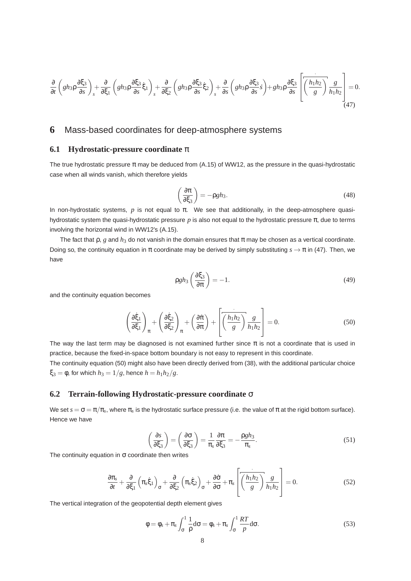$$
\frac{\partial}{\partial t}\left(gh_{3}\rho\frac{\partial\xi_{3}}{\partial s}\right)_{s} + \frac{\partial}{\partial\xi_{1}}\left(gh_{3}\rho\frac{\partial\xi_{3}}{\partial s}\dot{\xi}_{1}\right)_{s} + \frac{\partial}{\partial\xi_{2}}\left(gh_{3}\rho\frac{\partial\xi_{3}}{\partial s}\dot{\xi}_{2}\right)_{s} + \frac{\partial}{\partial s}\left(gh_{3}\rho\frac{\partial\xi_{3}}{\partial s}\dot{s}\right) + gh_{3}\rho\frac{\partial\xi_{3}}{\partial s}\left[\overline{\left(\frac{h_{1}h_{2}}{g}\right)}\frac{g}{h_{1}h_{2}}\right] = 0. \tag{47}
$$

## **6** Mass-based coordinates for deep-atmosphere systems

### **6.1 Hydrostatic-pressure coordinate** π

The true hydrostatic pressure π may be deduced from (A.15) of WW12, as the pressure in the quasi-hydrostatic case when all winds vanish, which therefore yields

$$
\left(\frac{\partial \pi}{\partial \xi_3}\right) = -\rho g h_3. \tag{48}
$$

In non-hydrostatic systems, *p* is not equal to π. We see that additionally, in the deep-atmosphere quasihydrostatic system the quasi-hydrostatic pressure *p* is also not equal to the hydrostatic pressure π, due to terms involving the horizontal wind in WW12's (A.15).

The fact that  $\rho$ , g and  $h_3$  do not vanish in the domain ensures that  $\pi$  may be chosen as a vertical coordinate. Doing so, the continuity equation in π coordinate may be derived by simply substituting  $s \to \pi$  in (47). Then, we have

$$
\rho g h_3 \left( \frac{\partial \xi_3}{\partial \pi} \right) = -1. \tag{49}
$$

and the continuity equation becomes

$$
\left(\frac{\partial \xi_1}{\partial \xi_1}\right)_{\pi} + \left(\frac{\partial \xi_2}{\partial \xi_2}\right)_{\pi} + \left(\frac{\partial \pi}{\partial \pi}\right) + \left[\overline{\left(\frac{h_1 h_2}{g}\right)} \frac{g}{h_1 h_2}\right] = 0.
$$
\n(50)

The way the last term may be diagnosed is not examined further since  $\pi$  is not a coordinate that is used in practice, because the fixed-in-space bottom boundary is not easy to represent in this coordinate.

The continuity equation (50) might also have been directly derived from (38), with the additional particular choice ξ<sub>3</sub> = φ, for which  $h_3 = 1/g$ , hence  $h = h_1 h_2/g$ .

### **6.2 Terrain-following Hydrostatic-pressure coordinate** σ

We set  $s=\sigma=\pi/\pi_s,$  where  $\pi_s$  is the hydrostatic surface pressure (i.e. the value of  $\pi$  at the rigid bottom surface). Hence we have

$$
\left(\frac{\partial s}{\partial \xi_3}\right) = \left(\frac{\partial \sigma}{\partial \xi_3}\right) = \frac{1}{\pi_s} \frac{\partial \pi}{\partial \xi_3} = -\frac{\rho g h_3}{\pi_s}.
$$
\n(51)

The continuity equation in  $\sigma$  coordinate then writes

$$
\frac{\partial \pi_s}{\partial t} + \frac{\partial}{\partial \xi_1} \left( \pi_s \dot{\xi}_1 \right)_{\sigma} + \frac{\partial}{\partial \xi_2} \left( \pi_s \dot{\xi}_2 \right)_{\sigma} + \frac{\partial \dot{\sigma}}{\partial \sigma} + \pi_s \left[ \overline{\left( \frac{h_1 h_2}{g} \right)} \frac{g}{h_1 h_2} \right] = 0. \tag{52}
$$

The vertical integration of the geopotential depth element gives

$$
\phi = \phi_s + \pi_s \int_{\sigma}^{1} \frac{1}{\rho} d\sigma = \phi_s + \pi_s \int_{\sigma}^{1} \frac{RT}{p} d\sigma.
$$
 (53)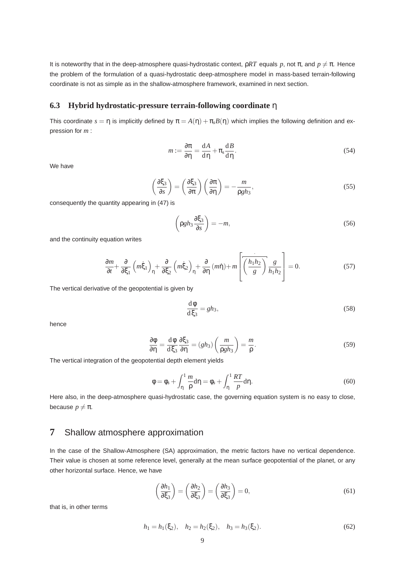It is noteworthy that in the deep-atmosphere quasi-hydrostatic context,  $\rho RT$  equals *p*, not π, and  $p \neq π$ . Hence the problem of the formulation of a quasi-hydrostatic deep-atmosphere model in mass-based terrain-following coordinate is not as simple as in the shallow-atmosphere framework, examined in next section.

### **6.3 Hybrid hydrostatic-pressure terrain-following coordinate** η

This coordinate  $s = \eta$  is implicitly defined by  $\pi = A(\eta) + \pi_s B(\eta)$  which implies the following definition and expression for *m* :

$$
m := \frac{\partial \pi}{\partial \eta} = \frac{dA}{d\eta} + \pi_s \frac{dB}{d\eta}.
$$
 (54)

We have

$$
\left(\frac{\partial \xi_3}{\partial s}\right) = \left(\frac{\partial \xi_3}{\partial \pi}\right) \left(\frac{\partial \pi}{\partial \eta}\right) = -\frac{m}{\rho g h_3},\tag{55}
$$

consequently the quantity appearing in (47) is

$$
\left(\rho g h_3 \frac{\partial \xi_3}{\partial s}\right) = -m,\tag{56}
$$

and the continuity equation writes

$$
\frac{\partial m}{\partial t} + \frac{\partial}{\partial \xi_1} \left( m \dot{\xi}_1 \right)_\eta + \frac{\partial}{\partial \xi_2} \left( m \dot{\xi}_2 \right)_\eta + \frac{\partial}{\partial \eta} \left( m \dot{\eta} \right) + m \left[ \overbrace{\left( \frac{h_1 h_2}{g} \right)}^{\eta} \frac{g}{h_1 h_2} \right] = 0. \tag{57}
$$

The vertical derivative of the geopotential is given by

$$
\frac{\mathrm{d}\phi}{\mathrm{d}\xi_3} = gh_3,\tag{58}
$$

hence

$$
\frac{\partial \phi}{\partial \eta} = \frac{d\phi}{d\xi_3} \frac{\partial \xi_3}{\partial \eta} = (gh_3) \left(\frac{m}{\rho gh_3}\right) = \frac{m}{\rho}.
$$
\n(59)

The vertical integration of the geopotential depth element yields

$$
\phi = \phi_s + \int_{\eta}^{1} \frac{m}{\rho} d\eta = \phi_s + \int_{\eta}^{1} \frac{RT}{p} d\eta.
$$
 (60)

Here also, in the deep-atmosphere quasi-hydrostatic case, the governing equation system is no easy to close, because  $p \neq \pi$ .

## **7** Shallow atmosphere approximation

In the case of the Shallow-Atmosphere (SA) approximation, the metric factors have no vertical dependence. Their value is chosen at some reference level, generally at the mean surface geopotential of the planet, or any other horizontal surface. Hence, we have

$$
\left(\frac{\partial h_1}{\partial \xi_3}\right) = \left(\frac{\partial h_2}{\partial \xi_3}\right) = \left(\frac{\partial h_3}{\partial \xi_3}\right) = 0,\tag{61}
$$

that is, in other terms

$$
h_1 = h_1(\xi_2), \quad h_2 = h_2(\xi_2), \quad h_3 = h_3(\xi_2).
$$
 (62)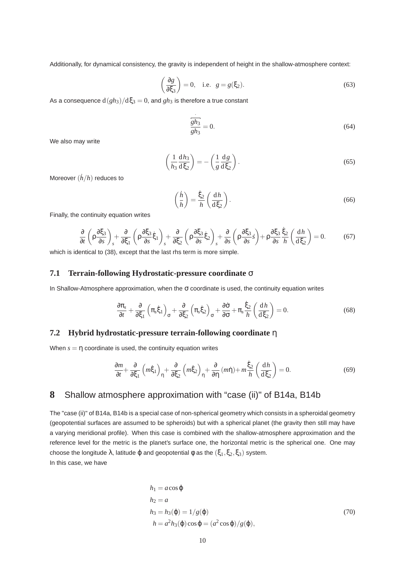Additionally, for dynamical consistency, the gravity is independent of height in the shallow-atmosphere context:

$$
\left(\frac{\partial g}{\partial \xi_3}\right) = 0, \quad \text{i.e.} \quad g = g(\xi_2). \tag{63}
$$

As a consequence  $d(gh_3)/d\xi_3 = 0$ , and  $gh_3$  is therefore a true constant

$$
\frac{gh_3}{gh_3} = 0.
$$
\n(64)

We also may write

$$
\left(\frac{1}{h_3}\frac{\mathrm{d}h_3}{\mathrm{d}\xi_2}\right) = -\left(\frac{1}{g}\frac{\mathrm{d}g}{\mathrm{d}\xi_2}\right). \tag{65}
$$

Moreover (*h*˙/*h*) reduces to

$$
\left(\frac{\dot{h}}{h}\right) = \frac{\dot{\xi}_2}{h} \left(\frac{\mathrm{d}h}{\mathrm{d}\xi_2}\right). \tag{66}
$$

Finally, the continuity equation writes

$$
\frac{\partial}{\partial t} \left( \rho \frac{\partial \xi_3}{\partial s} \right)_s + \frac{\partial}{\partial \xi_1} \left( \rho \frac{\partial \xi_3}{\partial s} \dot{\xi}_1 \right)_s + \frac{\partial}{\partial \xi_2} \left( \rho \frac{\partial \xi_3}{\partial s} \dot{\xi}_2 \right)_s + \frac{\partial}{\partial s} \left( \rho \frac{\partial \xi_3}{\partial s} \dot{s} \right) + \rho \frac{\partial \xi_3}{\partial s} \frac{\dot{\xi}_2}{h} \left( \frac{dh}{d \xi_2} \right) = 0. \tag{67}
$$

which is identical to (38), except that the last rhs term is more simple.

### **7.1 Terrain-following Hydrostatic-pressure coordinate** σ

In Shallow-Atmosphere approximation, when the  $\sigma$  coordinate is used, the continuity equation writes

$$
\frac{\partial \pi_s}{\partial t} + \frac{\partial}{\partial \xi_1} \left( \pi_s \dot{\xi}_1 \right)_{\sigma} + \frac{\partial}{\partial \xi_2} \left( \pi_s \dot{\xi}_2 \right)_{\sigma} + \frac{\partial \dot{\sigma}}{\partial \sigma} + \pi_s \frac{\dot{\xi}_2}{h} \left( \frac{dh}{d \xi_2} \right) = 0. \tag{68}
$$

### **7.2 Hybrid hydrostatic-pressure terrain-following coordinate** η

When  $s = \eta$  coordinate is used, the continuity equation writes

$$
\frac{\partial m}{\partial t} + \frac{\partial}{\partial \xi_1} \left( m \dot{\xi}_1 \right)_\eta + \frac{\partial}{\partial \xi_2} \left( m \dot{\xi}_2 \right)_\eta + \frac{\partial}{\partial \eta} \left( m \dot{\eta} \right) + m \frac{\dot{\xi}_2}{h} \left( \frac{\mathrm{d}h}{\mathrm{d} \xi_2} \right) = 0. \tag{69}
$$

# **8** Shallow atmosphere approximation with "case (ii)" of B14a, B14b

The "case (ii)" of B14a, B14b is a special case of non-spherical geometry which consists in a spheroidal geometry (geopotential surfaces are assumed to be spheroids) but with a spherical planet (the gravity then still may have a varying meridional profile). When this case is combined with the shallow-atmosphere approximation and the reference level for the metric is the planet's surface one, the horizontal metric is the spherical one. One may choose the longitude  $\lambda$ , latitude  $\varphi$  and geopotential  $\varphi$  as the  $(\xi_1, \xi_2, \xi_3)$  system. In this case, we have

$$
h_1 = a\cos\varphi
$$
  
\n
$$
h_2 = a
$$
  
\n
$$
h_3 = h_3(\varphi) = 1/g(\varphi)
$$
  
\n
$$
h = a^2 h_3(\varphi)\cos\varphi = (a^2 \cos\varphi)/g(\varphi),
$$
\n(70)